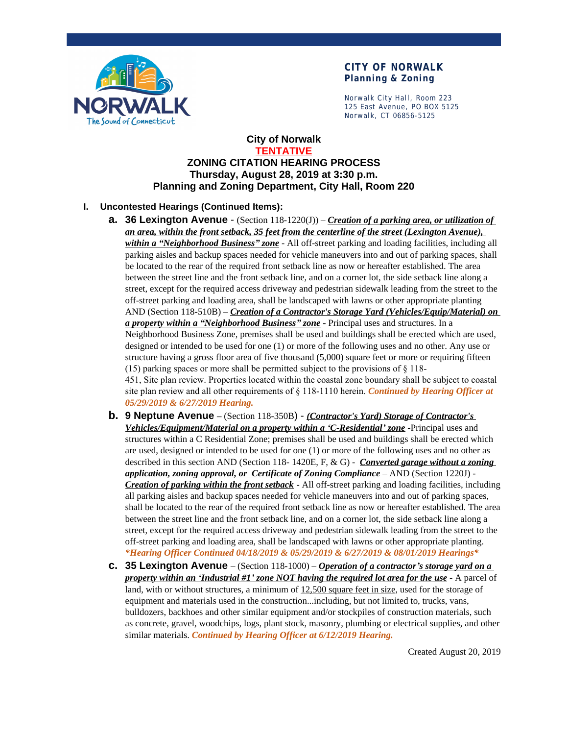

Norwalk City Hall, Room 223 125 East Avenue, PO BOX 5125 Norwalk, CT 06856-5125

# **City of Norwalk TENTATIVE ZONING CITATION HEARING PROCESS Thursday, August 28, 2019 at 3:30 p.m. Planning and Zoning Department, City Hall, Room 220**

# **I. Uncontested Hearings (Continued Items):**

- **a. 36 Lexington Avenue**  (Section 118-1220(J)) *Creation of a parking area, or utilization of an area, within the front setback, 35 feet from the centerline of the street (Lexington Avenue), within a "Neighborhood Business" zone* - All off-street parking and loading facilities, including all parking aisles and backup spaces needed for vehicle maneuvers into and out of parking spaces, shall be located to the rear of the required front setback line as now or hereafter established. The area between the street line and the front setback line, and on a corner lot, the side setback line along a street, except for the required access driveway and pedestrian sidewalk leading from the street to the off-street parking and loading area, shall be landscaped with lawns or other appropriate planting AND (Section 118-510B) – *Creation of a Contractor's Storage Yard (Vehicles/Equip/Material) on a property within a "Neighborhood Business" zone* - Principal uses and structures. In a Neighborhood Business Zone, premises shall be used and buildings shall be erected which are used, designed or intended to be used for one (1) or more of the following uses and no other. Any use or structure having a gross floor area of five thousand (5,000) square feet or more or requiring fifteen (15) parking spaces or more shall be permitted subject to the provisions of  $\S$  118-451, Site plan review. Properties located within the coastal zone boundary shall be subject to coastal site plan review and all other requirements of § 118-1110 herein. *Continued by Hearing Officer at 05/29/2019 & 6/27/2019 Hearing.*
- **b. 9 Neptune Avenue –** (Section 118-350B) *(Contractor's Yard) Storage of Contractor's Vehicles/Equipment/Material on a property within a 'C-Residential' zone* -Principal uses and structures within a C Residential Zone; premises shall be used and buildings shall be erected which are used, designed or intended to be used for one (1) or more of the following uses and no other as described in this section AND (Section 118- 1420E, F, & G) - *Converted garage without a zoning application, zoning approval, or Certificate of Zoning Compliance* – AND (Section 1220J) - *Creation of parking within the front setback* - All off-street parking and loading facilities, including all parking aisles and backup spaces needed for vehicle maneuvers into and out of parking spaces, shall be located to the rear of the required front setback line as now or hereafter established. The area between the street line and the front setback line, and on a corner lot, the side setback line along a street, except for the required access driveway and pedestrian sidewalk leading from the street to the off-street parking and loading area, shall be landscaped with lawns or other appropriate planting. *\*Hearing Officer Continued 04/18/2019 & 05/29/2019 & 6/27/2019 & 08/01/2019 Hearings\**
- **c. 35 Lexington Avenue**  (Section 118-1000) *Operation of a contractor's storage yard on a property within an 'Industrial #1' zone NOT having the required lot area for the use* - A parcel of land, with or without structures, a minimum of 12,500 square feet in size, used for the storage of equipment and materials used in the construction...including, but not limited to, trucks, vans, bulldozers, backhoes and other similar equipment and/or stockpiles of construction materials, such as concrete, gravel, woodchips, logs, plant stock, masonry, plumbing or electrical supplies, and other similar materials. *Continued by Hearing Officer at 6/12/2019 Hearing.*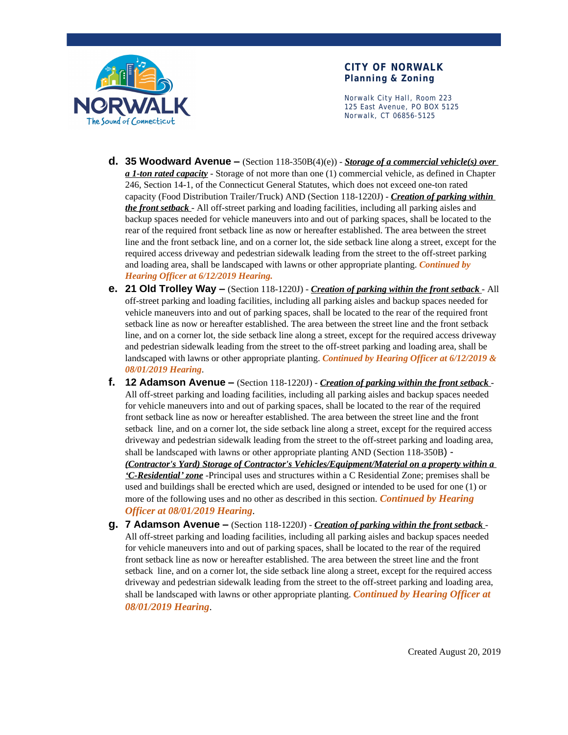

Norwalk City Hall, Room 223 125 East Avenue, PO BOX 5125 Norwalk, CT 06856-5125

- **d. 35 Woodward Avenue –** (Section 118-350B(4)(e)) *Storage of a commercial vehicle(s) over a 1-ton rated capacity* - Storage of not more than one (1) commercial vehicle, as defined in Chapter 246, Section 14-1, of the Connecticut General Statutes, which does not exceed one-ton rated capacity (Food Distribution Trailer/Truck) AND (Section 118-1220J) - *Creation of parking within the front setback* - All off-street parking and loading facilities, including all parking aisles and backup spaces needed for vehicle maneuvers into and out of parking spaces, shall be located to the rear of the required front setback line as now or hereafter established. The area between the street line and the front setback line, and on a corner lot, the side setback line along a street, except for the required access driveway and pedestrian sidewalk leading from the street to the off-street parking and loading area, shall be landscaped with lawns or other appropriate planting. *Continued by Hearing Officer at 6/12/2019 Hearing.*
- **e. 21 Old Trolley Way –** (Section 118-1220J) *Creation of parking within the front setback* All off-street parking and loading facilities, including all parking aisles and backup spaces needed for vehicle maneuvers into and out of parking spaces, shall be located to the rear of the required front setback line as now or hereafter established. The area between the street line and the front setback line, and on a corner lot, the side setback line along a street, except for the required access driveway and pedestrian sidewalk leading from the street to the off-street parking and loading area, shall be landscaped with lawns or other appropriate planting. *Continued by Hearing Officer at 6/12/2019 & 08/01/2019 Hearing*.
- **f. 12 Adamson Avenue –** (Section 118-1220J) *Creation of parking within the front setback* All off-street parking and loading facilities, including all parking aisles and backup spaces needed for vehicle maneuvers into and out of parking spaces, shall be located to the rear of the required front setback line as now or hereafter established. The area between the street line and the front setback line, and on a corner lot, the side setback line along a street, except for the required access driveway and pedestrian sidewalk leading from the street to the off-street parking and loading area, shall be landscaped with lawns or other appropriate planting AND (Section 118-350B) - *(Contractor's Yard) Storage of Contractor's Vehicles/Equipment/Material on a property within a 'C-Residential' zone* -Principal uses and structures within a C Residential Zone; premises shall be used and buildings shall be erected which are used, designed or intended to be used for one (1) or more of the following uses and no other as described in this section. *Continued by Hearing Officer at 08/01/2019 Hearing*.
- **g. 7 Adamson Avenue –** (Section 118-1220J) *Creation of parking within the front setback* All off-street parking and loading facilities, including all parking aisles and backup spaces needed for vehicle maneuvers into and out of parking spaces, shall be located to the rear of the required front setback line as now or hereafter established. The area between the street line and the front setback line, and on a corner lot, the side setback line along a street, except for the required access driveway and pedestrian sidewalk leading from the street to the off-street parking and loading area, shall be landscaped with lawns or other appropriate planting. *Continued by Hearing Officer at 08/01/2019 Hearing*.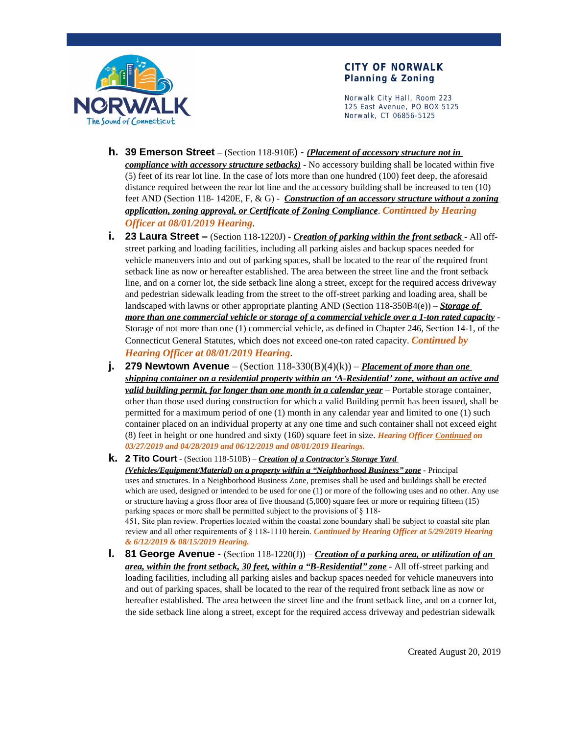

Norwalk City Hall, Room 223 125 East Avenue, PO BOX 5125 Norwalk, CT 06856-5125

- **h. 39 Emerson Street –** (Section 118-910E) *(Placement of accessory structure not in compliance with accessory structure setbacks)* - No accessory building shall be located within five (5) feet of its rear lot line. In the case of lots more than one hundred (100) feet deep, the aforesaid distance required between the rear lot line and the accessory building shall be increased to ten (10) feet AND (Section 118- 1420E, F, & G) - *Construction of an accessory structure without a zoning application, zoning approval, or Certificate of Zoning Compliance*. *Continued by Hearing Officer at 08/01/2019 Hearing*.
- **i. 23 Laura Street –** (Section 118-1220J) *Creation of parking within the front setback* All offstreet parking and loading facilities, including all parking aisles and backup spaces needed for vehicle maneuvers into and out of parking spaces, shall be located to the rear of the required front setback line as now or hereafter established. The area between the street line and the front setback line, and on a corner lot, the side setback line along a street, except for the required access driveway and pedestrian sidewalk leading from the street to the off-street parking and loading area, shall be landscaped with lawns or other appropriate planting AND (Section 118-350B4(e)) – *Storage of more than one commercial vehicle or storage of a commercial vehicle over a 1-ton rated capacity* - Storage of not more than one (1) commercial vehicle, as defined in Chapter 246, Section 14-1, of the Connecticut General Statutes, which does not exceed one-ton rated capacity. *Continued by Hearing Officer at 08/01/2019 Hearing*.
- **j. 279 Newtown Avenue** (Section  $118-330(B)(4)(k)$ ) *Placement of more than one shipping container on a residential property within an 'A-Residential' zone, without an active and valid building permit, for longer than one month in a calendar year* – Portable storage container, other than those used during construction for which a valid Building permit has been issued, shall be permitted for a maximum period of one (1) month in any calendar year and limited to one (1) such container placed on an individual property at any one time and such container shall not exceed eight (8) feet in height or one hundred and sixty (160) square feet in size. *Hearing Officer Continued on 03/27/2019 and 04/28/2019 and 06/12/2019 and 08/01/2019 Hearings.*

**k. 2 Tito Court** - (Section 118-510B) – *Creation of a Contractor's Storage Yard* 

*(Vehicles/Equipment/Material) on a property within a "Neighborhood Business" zone* - Principal uses and structures. In a Neighborhood Business Zone, premises shall be used and buildings shall be erected which are used, designed or intended to be used for one (1) or more of the following uses and no other. Any use or structure having a gross floor area of five thousand (5,000) square feet or more or requiring fifteen (15) parking spaces or more shall be permitted subject to the provisions of § 118-

451, Site plan review. Properties located within the coastal zone boundary shall be subject to coastal site plan review and all other requirements of § 118-1110 herein. *Continued by Hearing Officer at 5/29/2019 Hearing & 6/12/2019 & 08/15/2019 Hearing.*

**l. 81 George Avenue** - (Section 118-1220(J)) – *Creation of a parking area, or utilization of an area, within the front setback, 30 feet, within a "B-Residential" zone* - All off-street parking and loading facilities, including all parking aisles and backup spaces needed for vehicle maneuvers into and out of parking spaces, shall be located to the rear of the required front setback line as now or hereafter established. The area between the street line and the front setback line, and on a corner lot, the side setback line along a street, except for the required access driveway and pedestrian sidewalk